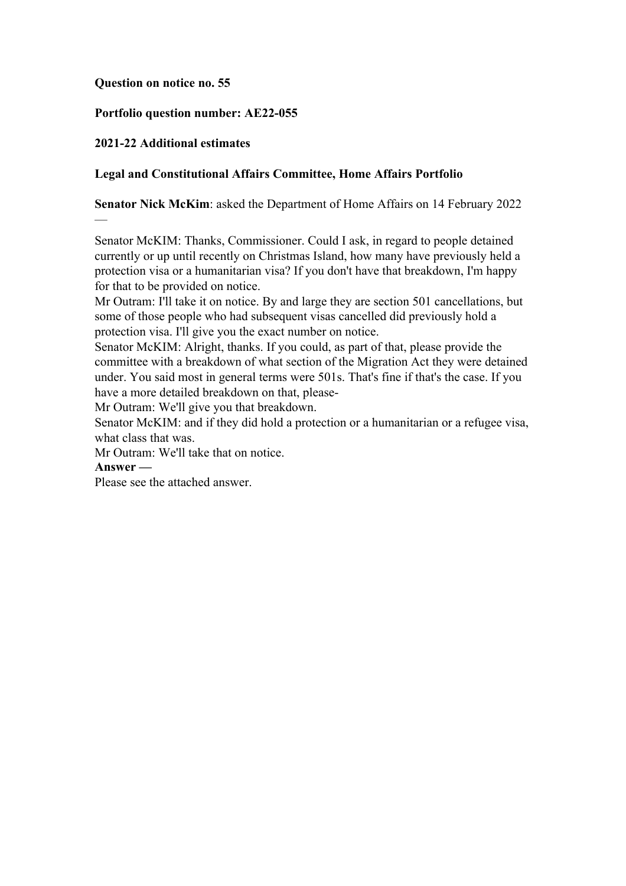#### **Question on notice no. 55**

### **Portfolio question number: AE22-055**

## **2021-22 Additional estimates**

### **Legal and Constitutional Affairs Committee, Home Affairs Portfolio**

**Senator Nick McKim**: asked the Department of Home Affairs on 14 February 2022

Senator McKIM: Thanks, Commissioner. Could I ask, in regard to people detained currently or up until recently on Christmas Island, how many have previously held a protection visa or a humanitarian visa? If you don't have that breakdown, I'm happy for that to be provided on notice.

Mr Outram: I'll take it on notice. By and large they are section 501 cancellations, but some of those people who had subsequent visas cancelled did previously hold a protection visa. I'll give you the exact number on notice.

Senator McKIM: Alright, thanks. If you could, as part of that, please provide the committee with a breakdown of what section of the Migration Act they were detained under. You said most in general terms were 501s. That's fine if that's the case. If you have a more detailed breakdown on that, please-

Mr Outram: We'll give you that breakdown.

Senator McKIM: and if they did hold a protection or a humanitarian or a refugee visa, what class that was.

Mr Outram: We'll take that on notice.

**Answer —**

—

Please see the attached answer.